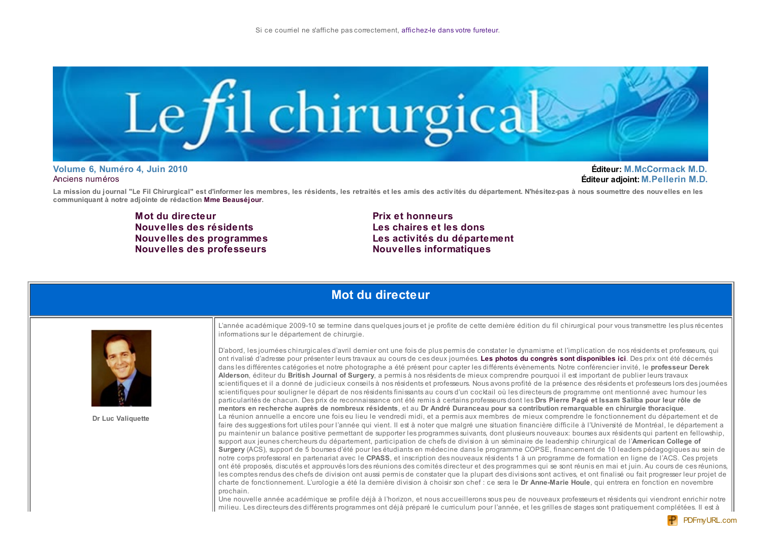

Volume 6. Numéro 4. Juin 2010 Anciens numéros

**Éditeur: M.McCormack M.D.** Éditeur adioint: M.Pellerin M.D.

La mission du journal "Le Fil Chirurgical" est d'informer les membres, les résidents, les retraités et les amis des activités du département. N'hésitez-pas à nous soumettre des nouvelles en les communiquant à notre adjointe de rédaction Mme Beauséjour.

> Mot du directeur Nouvelles des résidents Nouvelles des programmes **Nouvelles des professeurs**

**Prix et honneurs** Les chaires et les dons Les activités du département **Nouvelles informatiques** 

### Mot du directeur



Dr Luc Valiquette

L'année académique 2009-10 se termine dans quelques jours et je profite de cette dernière édition du fil chirurgical pour vous transmettre les plus récentes informations sur le département de chirurgie.

D'abord, les journées chirurgicales d'avril dernier ont une fois de plus permis de constater le dynamisme et l'implication de nos résidents et professeurs, qui ont rivalisé d'adresse pour présenter leurs travaux au cours de ces deux journées. Les photos du congrès sont disponibles ici. Des prix ont été décernés dans les différentes catégories et notre photographe a été présent pour capter les différents évènements. Notre conférencier invité, le professeur Derek Alderson, éditeur du British Journal of Surgery, a permis à nos résidents de mieux comprendre pourquoi il est important de publier leurs travaux scientifiques et il a donné de judicieux conseils à nos résidents et professeurs. Nous avons profité de la présence des résidents et professeurs lors des journées scientifiques pour souligner le départ de nos résidents finissants au cours d'un cocktail où les directeurs de programme ont mentionné avec humour les particularités de chacun. Des prix de reconnaissance ont été remis à certains professeurs dont les Drs Pierre Pagé et Issam Saliba pour leur rôle de mentors en recherche auprès de nombreux résidents, et au Dr André Duranceau pour sa contribution remarquable en chirurgie thoracique. La réunion annuelle a encore une fois eu lieu le vendredi midi, et a permis aux membres de mieux comprendre le fonctionnement du département et de faire des suggestions fort utiles pour l'année qui vient. Il est à noter que malgré une situation financière difficile à l'Université de Montréal, le département a pu maintenir un balance positive permettant de supporter les programmes suivants, dont plusieurs nouveaux: bourses aux résidents qui partent en fellowship, support aux jeunes chercheurs du département, participation de chefs de division à un séminaire de leadership chirurgical de l'American College of Surgery (ACS), support de 5 bourses d'été pour les étudiants en médecine dans le programme COPSE, financement de 10 leaders pédagogiques au sein de notre corps professoral en partenariat avec le CPASS, et inscription des nouveaux résidents 1 à un programme de formation en ligne de l'ACS. Ces projets ont été proposés, discutés et approuvés lors des réunions des comités directeur et des programmes qui se sont réunis en mai et juin. Au cours de ces réunions, les comptes rendus des chefs de division ont aussi permis de constater que la plupart des divisions sont actives, et ont finalisé ou fait progresser leur projet de charte de fonctionnement. L'urologie a été la dernière division à choisir son chef : ce sera le Dr Anne-Marie Houle, qui entrera en fonction en novembre prochain.

Une nouvelle année académique se profile déjà à l'horizon, et nous accueillerons sous peu de nouveaux professeurs et résidents qui viendront enrichir notre milieu. Les directeurs des différents programmes ont déjà préparé le curriculum pour l'année, et les grilles de stages sont pratiquement complétées. Il est à

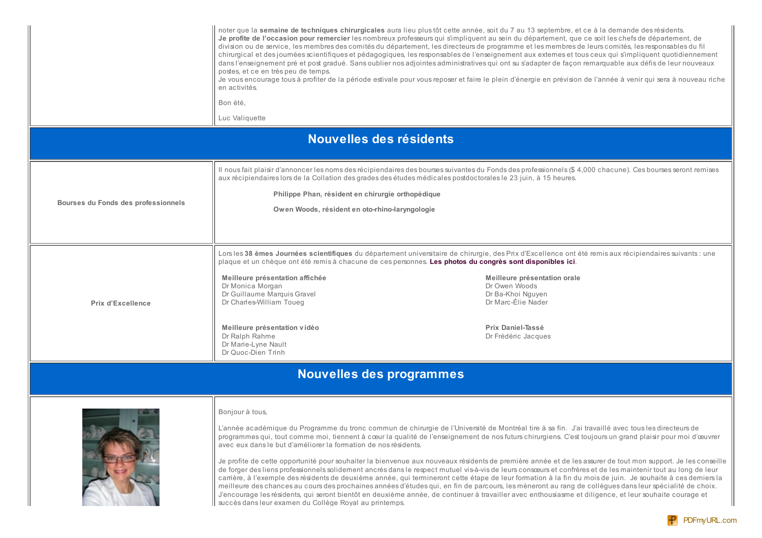|                                     | noter que la semaine de techniques chirurgicales aura lieu plus tôt cette année, soit du 7 au 13 septembre, et ce à la demande des résidents.<br>Je profite de l'occasion pour remercier les nombreux professeurs qui s'impliquent au sein du département, que ce soit les chefs de département, de<br>division ou de service, les membres des comités du département, les directeurs de programme et les membres de leurs comités, les responsables du fil<br>chirurgical et des journées scientifiques et pédagogiques, les responsables de l'enseignement aux externes et tous ceux qui s'impliquent quotidiennement<br>dans l'enseignement pré et post gradué. Sans oublier nos adjointes administratives qui ont su s'adapter de façon remarquable aux défis de leur nouveaux<br>postes, et ce en très peu de temps.<br>Je vous encourage tous à profiter de la période estivale pour vous reposer et faire le plein d'énergie en prévision de l'année à venir qui sera à nouveau riche<br>en activités.<br>Bon été.<br>Luc Valiquette |                                                                                                                                      |
|-------------------------------------|---------------------------------------------------------------------------------------------------------------------------------------------------------------------------------------------------------------------------------------------------------------------------------------------------------------------------------------------------------------------------------------------------------------------------------------------------------------------------------------------------------------------------------------------------------------------------------------------------------------------------------------------------------------------------------------------------------------------------------------------------------------------------------------------------------------------------------------------------------------------------------------------------------------------------------------------------------------------------------------------------------------------------------------------|--------------------------------------------------------------------------------------------------------------------------------------|
|                                     | Nouvelles des résidents                                                                                                                                                                                                                                                                                                                                                                                                                                                                                                                                                                                                                                                                                                                                                                                                                                                                                                                                                                                                                     |                                                                                                                                      |
| Bourses du Fonds des professionnels | Il nous fait plaisir d'annoncer les noms des récipiendaires des bourses suivantes du Fonds des professionnels (\$ 4,000 chacune). Ces bourses seront remises<br>aux récipiendaires lors de la Collation des grades des études médicales postdoctorales le 23 juin, à 15 heures.<br>Philippe Phan, résident en chirurgie orthopédique<br>Owen Woods, résident en oto-rhino-laryngologie                                                                                                                                                                                                                                                                                                                                                                                                                                                                                                                                                                                                                                                      |                                                                                                                                      |
| <b>Prix d'Excellence</b>            | Lors les 38 èmes Journées scientifiques du département universitaire de chirurgie, des Prix d'Excellence ont été remis aux récipiendaires suivants : une<br>plaque et un chèque ont été remis à chacune de ces personnes. Les photos du congrès sont disponibles ici.<br>Meilleure présentation affichée<br>Dr Monica Morgan<br>Dr Guillaume Marquis Gravel<br>Dr Charles-William Toueg<br>Meilleure présentation vidéo<br>Dr Ralph Rahme<br>Dr Marie-Lyne Nault<br>Dr Quoc-Dien Trinh                                                                                                                                                                                                                                                                                                                                                                                                                                                                                                                                                      | Meilleure présentation orale<br>Dr Owen Woods<br>Dr Ba-Khoi Nguyen<br>Dr Marc-Élie Nader<br>Prix Daniel-Tassé<br>Dr Frédéric Jacques |

# Nouvelles des programmes



#### Bonjour à tous,

L'année académique du Programme du tronc commun de chirurgie de l'Université de Montréal tire à sa fin. J'ai travaillé avec tous les directeurs de programmes qui, tout comme moi, tiennent à cœur la qualité de l'enseignement de nos futurs chirurgiens. C'est toujours un grand plaisir pour moi d'œuvrer avec eux dans le but d'améliorer la formation de nos résidents.

Je profite de cette opportunité pour souhaiter la bienvenue aux nouveaux résidents de première année et de les assurer de tout mon support. Je les conseille de forger des liens professionnels solidement ancrés dans le respect mutuel vis-à-vis de leurs consœurs et confrères et de les maintenir tout au long de leur carrière, à l'exemple des résidents de deuxième année, qui termineront cette étape de leur formation à la fin du mois de juin. Je souhaite à ces demiers la meilleure des chances au cours des prochaines années d'études qui, en fin de parcours, les mèneront au rang de collègues dans leur spécialité de choix. J'encourage les résidents, qui seront bientôt en deuxième année, de continuer à travailler avec enthousiasme et diligence, et leur souhaite courage et succès dans leur examen du Collège Royal au printemps.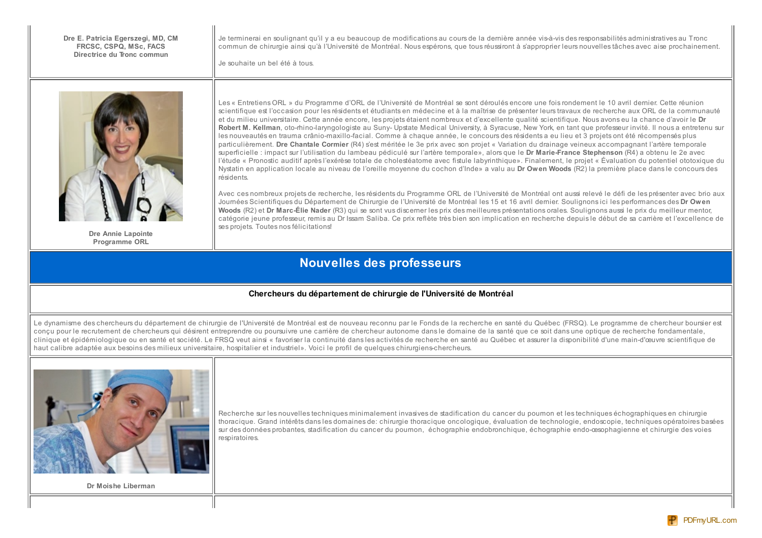Dre E. Patricia Egerszegi, MD, CM FRCSC, CSPO, MSc, FACS Directrice du Tronc commun

Je terminerai en soulignant qu'il y a eu beaucoup de modifications au cours de la dernière année vis-à-vis des responsabilités administratives au Tronc commun de chinimie ainsi qu'à l'Université de Montréal, Nous espérons, que tous réussiront à s'approprier leurs nouvelles tâches avec aise prochainement

Je souhaite un bel été à tous.



Dre Annie Lapointe **Programme ORL** 

Les « Entretiens ORL » du Programme d'ORL de l'Université de Montréal se sont déroulés encore une fois rondement le 10 avril demier. Cette réunion scientifique est l'occasion pour les résidents et étudiants en médecine et à la maîtrise de présenter leurs travaux de recherche aux ORL de la communauté et du milieu universitaire. Cette année encore, les projets étaient nombreux et d'excellente qualité scientifique. Nous avons eu la chance d'avoir le Dr Robert M. Kellman, oto-rhino-laryngologiste au Suny-Upstate Medical University, à Syracuse, New York, en tant que professeur invité. Il nous a entretenu sur les nouveautés en trauma crânio-maxillo-facial. Comme à chaque année, le concours des résidents a eu lieu et 3 projets ont été récompensés plus particulièrement. Dre Chantale Cormier (R4) s'est méritée le 3e prix avec son projet « Variation du drainage veineux accompagnant l'artère temporale superficielle : impact sur l'utilisation du lambeau pédiculé sur l'artère temporale», alors que le Dr Marie-France Stephenson (R4) a obtenu le 2e avec l'étude « Pronostic auditif après l'exérèse totale de cholestéatome avec fistule labyrinthique». Finalement, le projet « Évaluation du potentiel ototoxique du Nystatin en application locale au niveau de l'oreille moyenne du cochon d'Inde» a valu au Dr Owen Woods (R2) la première place dans le concours des résidents.

Avec ces nombreux projets de recherche, les résidents du Programme ORL de l'Université de Montréal ont aussi relevé le défi de les présenter avec brio aux Journées Scientifiques du Département de Chirurgie de l'Université de Montréal les 15 et 16 avril dernier. Soulignons ici les performances des Dr Owen Woods (R2) et Dr Marc-Élie Nader (R3) qui se sont vus discemer les prix des meilleures présentations orales. Soulignons aussi le prix du meilleur mentor, catégorie jeune professeur, remis au Dr Issam Saliba. Ce prix reflète très bien son implication en recherche depuis le début de sa carrière et l'excellence de ses projets. Toutes nos félicitations!

### **Nouvelles des professeurs**

#### Chercheurs du département de chirurgie de l'Université de Montréal

Le dynamisme des chercheurs du département de chirurgie de l'Université de Montréal est de nouveau reconnu par le Fonds de la recherche en santé du Québec (FRSQ). Le programme de chercheur boursier est concu pour le recrutement de chercheurs qui désirent entreprendre ou poursuivre une carrière de chercheur autonome dans le domaine de la santé que ce soit dans une optique de recherche fondamentale. clinique et épidémiologique ou en santé et société. Le FRSQ veut ainsi « favoriser la continuité dans les activités de recherche en santé au Québec et assurer la disponibilité d'une main-d'œuvre scientifique de haut calibre adaptée aux besoins des milieux universitaire, hospitalier et industriel». Voici le profil de quelques chirurgiens-chercheurs.



Dr Moishe Liberman

Recherche sur les nouvelles techniques minimalement invasives de stadification du cancer du poumon et les techniques échographiques en chirurgie thoracique. Grand intérêts dans les domaines de: chirurgie thoracique oncologique, évaluation de technologie, endoscopie, techniques opératoires basées sur des données probantes, stadification du cancer du poumon, échographie endobronchique, échographie endo-œsophagienne et chirurgie des voies respiratoires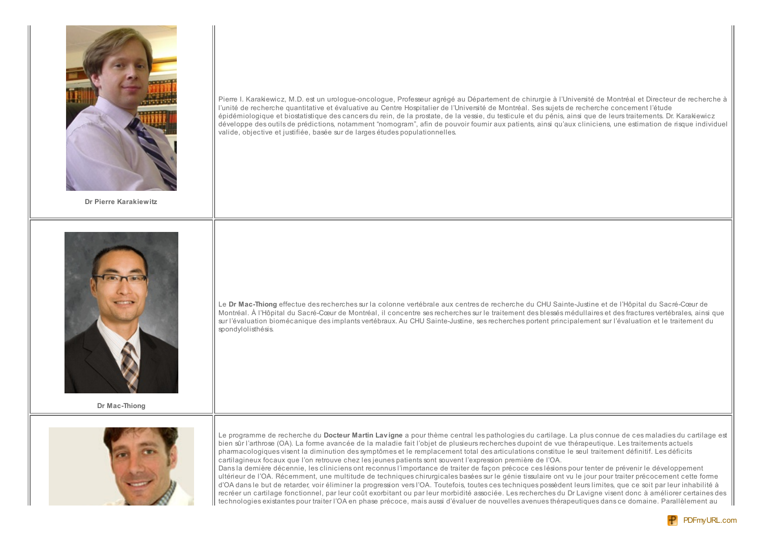

Dr Pierre Karakiewitz

Pierre I. Karakiewicz, M.D. est un urologue-oncologue, Professeur agrégé au Département de chirurgie à l'Université de Montréal et Directeur de recherche à l'unité de recherche quantitative et évaluative au Centre Hospitalier de l'Université de Montréal. Ses sujets de recherche concernent l'étude épidémiologique et biostatistique des cancers du rein, de la prostate, de la vessie, du testicule et du pénis, ainsi que de leurs traitements. Dr. Karakiewicz développe des outils de prédictions, notamment "nomogram", afin de pouvoir fournir aux patients, ainsi qu'aux cliniciens, une estimation de risque individuel valide, objective et justifiée, basée sur de larges études populationnelles.



Dr Mac-Thiong

Le Dr Mac-Thiong effectue des recherches sur la colonne vertébrale aux centres de recherche du CHU Sainte-Justine et de l'Hôpital du Sacré-Cœur de Montréal. À l'Hôpital du Sacré-Cœur de Montréal, il concentre ses recherches sur le traitement des blessés médullaires et des fractures vertébrales, ainsi que sur l'évaluation biomécanique des implants vertébraux. Au CHU Sainte-Justine, ses recherches portent principalement sur l'évaluation et le traitement du spondylolisthésis.



Le programme de recherche du Docteur Martin Lavigne a pour thème central les pathologies du cartilage. La plus connue de ces maladies du cartilage est bien sûr l'arthrose (OA). La forme avancée de la maladie fait l'objet de plusieurs recherches dupoint de vue thérapeutique. Les traitements actuels pharmacologiques visent la diminution des symptômes et le remplacement total des articulations constitue le seul traitement définitif. Les déficits cartilagineux focaux que l'on retrouve chez les jeunes patients sont souvent l'expression première de l'OA.

Dans la dernière décennie, les cliniciens ont reconnus l'importance de traiter de façon précoce ces lésions pour tenter de prévenir le développement ultérieur de l'OA. Récemment, une multitude de techniques chirurgicales basées sur le génie tissulaire ont vu le jour pour traiter précocement cette forme d'OA dans le but de retarder, voir éliminer la progression vers l'OA. Toutefois, toutes ces techniques possèdent leurs limites, que ce soit par leur inhabilité à recréer un cartilage fonctionnel, par leur coût exorbitant ou par leur morbidité associée. Les recherches du Dr Lavigne visent donc à améliorer certaines des technologies existantes pour traiter l'OA en phase précoce, mais aussi d'évaluer de nouvelles avenues thérapeutiques dans ce domaine. Parallèlement au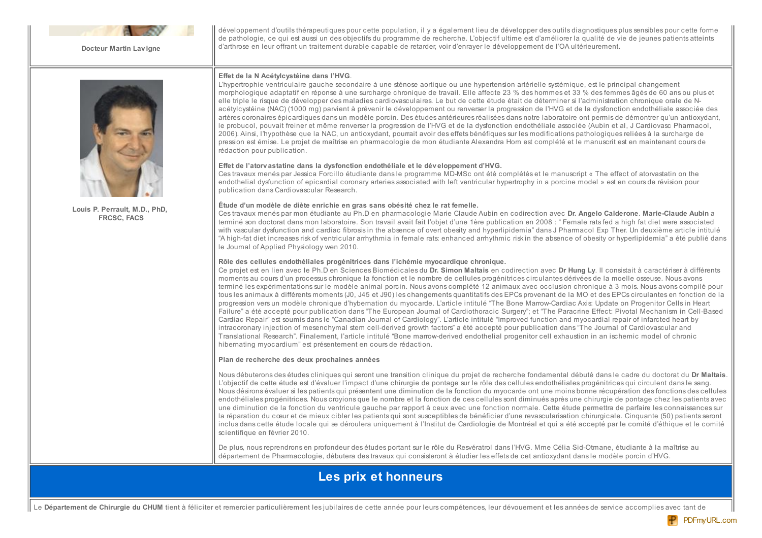

Docteur Martin Lavigne

développement d'outils thérapeutiques pour cette population, il y a également lieu de développer des outils diagnostiques plus sensibles pour cette forme de pathologie, ce qui est aussi un des objectifs du programme de recherche. L'objectif ultime est d'améliorer la qualité de vie de jeunes patients atteints d'arthrose en leur offrant un traitement durable capable de retarder, voir d'enraver le développement de l'OA ultérieurement.



Louis P. Perrault, M.D., PhD. **FRCSC, FACS** 

#### Effet de la N Acétylcystéine dans l'HVG.

L'hypertrophie ventriculaire gauche secondaire à une sténose aortique ou une hypertension artérielle systémique, est le principal changement morphologique adaptatif en réponse à une surcharge chronique de travail. Elle affecte 23 % des hommes et 33 % des femmes âgés de 60 ans ou plus et elle triple le risque de développer des maladies cardiovasculaires. Le but de cette étude était de déterminer si l'administration chronique orale de Nacétylcystéine (NAC) (1000 mg) parvient à prévenir le développement ou renverser la progression de l'HVG et de la dysfonction endothéliale associée des artères coronaires épicardiques dans un modèle porcin. Des études antérieures réalisées dans notre laboratoire ont permis de démontrer qu'un antioxydant. le probucol, pouvait freiner et même renverser la progression de l'HVG et de la dysfonction endothéliale associée (Aubin et al. J Cardiovasc Pharmacol, 2006). Ainsi, l'hypothèse que la NAC, un antioxydant, pourrait avoir des effets bénéfiques sur les modifications pathologiques reliées à la surcharge de pression est émise. Le projet de maîtrise en pharmacologie de mon étudiante Alexandra Hom est complété et le manuscrit est en maintenant cours de rédaction pour publication.

#### Effet de l'atory astatine dans la dysfonction endothéliale et le développement d'HVG.

Ces travaux menés par Jessica Forcillo étudiante dans le programme MD-MSc ont été complétés et le manuscript « The effect of atorvastatin on the endothelial dysfunction of epicardial coronary arteries associated with left ventricular hypertrophy in a porcine model » est en cours de révision pour publication dans Cardiovascular Research.

#### Étude d'un modèle de diète enrichie en gras sans obésité chez le rat femelle.

Ces travaux menés par mon étudiante au Ph.D en pharmacologie Marie Claude Aubin en codirection avec Dr. Angelo Calderone. Marie-Claude Aubin a terminé son doctorat dans mon laboratoire. Son travail avait fait l'objet d'une 1ère publication en 2008 : "Female rats fed a high fat diet were associated with vascular dysfunction and cardiac fibrosis in the absence of overt obesity and hyperlipidemia" dans J Pharmacol Exp Ther. Un deuxième article intitulé "A high-fat diet increases risk of ventricular arrhythmia in female rats: enhanced arrhythmic risk in the absence of obesity or hyperlipidemia" a été publié dans le Journal of Applied Physiology wen 2010.

#### Rôle des cellules endothéliales progénitrices dans l'ichémie myocardique chronique.

Ce projet est en lien avec le Ph.D en Sciences Biomédicales du Dr. Simon Maltais en codirection avec Dr Hung Ly. Il consistait à caractériser à différents moments au cours d'un processus chronique la fonction et le nombre de cellules progénitrices circulantes dérivées de la moelle osseuse. Nous avons terminé les expérimentations sur le modèle animal porcin. Nous avons complété 12 animaux avec occlusion chronique à 3 mois. Nous avons compilé pour tous les animaux à différents moments (J0, J45 et J90) les changements quantitatifs des EPCs provenant de la MO et des EPCs circulantes en fonction de la progression vers un modèle chronique d'hybernation du myocarde. L'article intitulé "The Bone Marrow-Cardiac Axis: Update on Progenitor Cells in Heart Failure" a été accepté pour publication dans "The European Journal of Cardiothoracic Surgery"; et "The Paracrine Effect: Pivotal Mechanism in Cell-Based Cardiac Repair" est soumis dans le "Canadian Journal of Cardiology". L'article intitulé "Improved function and myocardial repair of infarcted heart by intracoronary injection of mesenchymal stem cell-derived growth factors" a été accepté pour publication dans "The Journal of Cardiovascular and Translational Research". Finalement, l'article intitulé "Bone marrow-derived endothelial progenitor cell exhaustion in an ischemic model of chronic hibernating myocardium" est présentement en cours de rédaction.

#### Plan de recherche des deux prochaines années

Nous débuterons des études cliniques qui seront une transition clinique du projet de recherche fondamental débuté dans le cadre du doctorat du Dr Maltais. L'objectif de cette étude est d'évaluer l'impact d'une chirurgie de pontage sur le rôle des cellules endothéliales progénitrices qui circulent dans le sang. Nous désirons évaluer si les patients qui présentent une diminution de la fonction du myocarde ont une moins bonne récupération des fonctions des cellules endothéliales progénitrices. Nous croyions que le nombre et la fonction de ces cellules sont diminués après une chirurgie de pontage chez les patients avec une diminution de la fonction du ventricule gauche par rapport à ceux avec une fonction normale. Cette étude permettra de parfaire les connaissances sur la réparation du cœur et de mieux cibler les patients qui sont susceptibles de bénéficier d'une revascularisation chirurgicale. Cinquante (50) patients seront inclus dans cette étude locale qui se déroulera uniquement à l'Institut de Cardiologie de Montréal et qui a été accepté par le comité d'éthique et le comité scientifique en février 2010.

De plus, nous reprendrons en profondeur des études portant sur le rôle du Resvératrol dans l'HVG. Mme Célia Sid-Otmane, étudiante à la maîtrise au département de Pharmacologie, débutera des travaux qui consisteront à étudier les effets de cet antioxydant dans le modèle porcin d'HVG.

### Les prix et honneurs

Le Département de Chirurgie du CHUM tient à féliciter et remercier particulièrement les jubilaires de cette année pour leurs compétences, leur dévouement et les années de service accomplies avec tant de

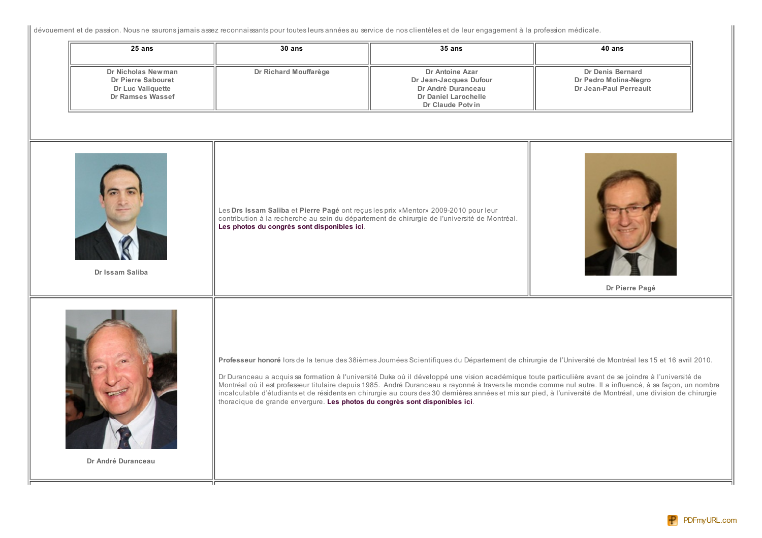|| dévouement et de passion. Nous ne saurons jamais assez reconnaissants pour toutes leurs années au service de nos clientèles et de leur engagement à la profession médicale.

| 25 ans                                                                            | 30 ans                                                                                                                                                                                                                             | $35$ ans                                                                                                    | 40 ans                                                                                                                                                                                                                                                                                                                                                                                                                                                                                                                                                                                                                                       |
|-----------------------------------------------------------------------------------|------------------------------------------------------------------------------------------------------------------------------------------------------------------------------------------------------------------------------------|-------------------------------------------------------------------------------------------------------------|----------------------------------------------------------------------------------------------------------------------------------------------------------------------------------------------------------------------------------------------------------------------------------------------------------------------------------------------------------------------------------------------------------------------------------------------------------------------------------------------------------------------------------------------------------------------------------------------------------------------------------------------|
| Dr Nicholas Newman<br>Dr Pierre Sabouret<br>Dr Luc Valiquette<br>Dr Ramses Wassef | Dr Richard Mouffarège                                                                                                                                                                                                              | Dr Antoine Azar<br>Dr Jean-Jacques Dufour<br>Dr André Duranceau<br>Dr Daniel Larochelle<br>Dr Claude Potvin | Dr Denis Bernard<br>Dr Pedro Molina-Negro<br>Dr Jean-Paul Perreault                                                                                                                                                                                                                                                                                                                                                                                                                                                                                                                                                                          |
| Dr Issam Saliba                                                                   | Les Drs Issam Saliba et Pierre Pagé ont reçus les prix «Mentor» 2009-2010 pour leur<br>contribution à la recherche au sein du département de chirurgie de l'université de Montréal.<br>Les photos du congrès sont disponibles ici. |                                                                                                             | Dr Pierre Pagé                                                                                                                                                                                                                                                                                                                                                                                                                                                                                                                                                                                                                               |
| Dr André Duranceau                                                                | thoracique de grande envergure. Les photos du congrès sont disponibles ici.                                                                                                                                                        |                                                                                                             | Professeur honoré lors de la tenue des 38ièmes Journées Scientifiques du Département de chirurgie de l'Université de Montréal les 15 et 16 avril 2010.<br>Dr Duranceau a acquis sa formation à l'université Duke où il développé une vision académique toute particulière avant de se joindre à l'université de<br>Montréal où il est professeur titulaire depuis 1985. André Duranceau a rayonné à travers le monde comme nul autre. Il a influencé, à sa façon, un nombre<br>incalculable d'étudiants et de résidents en chirurgie au cours des 30 dernières années et mis sur pied, à l'université de Montréal, une division de chirurgie |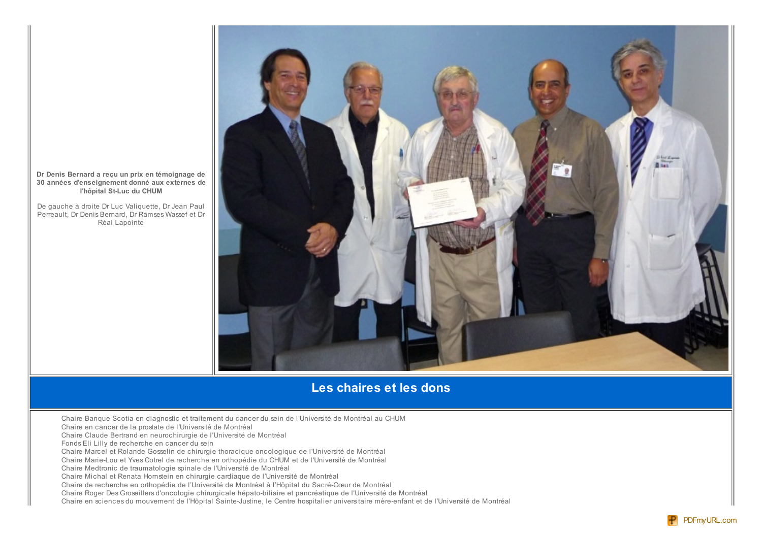

De gauche à droite Dr Luc Valiquette, Dr Jean Paul Perreault. Dr Denis Bernard. Dr Ramses Wassef et Dr Réal Lapointe



## Les chaires et les dons

Chaire Banque Scotia en diagnostic et traitement du cancer du sein de l'Université de Montréal au CHUM

Chaire en cancer de la prostate de l'Université de Montréal

Chaire Claude Bertrand en neurochirurgie de l'Université de Montréal

Fonds Eli Lilly de recherche en cancer du sein

Chaire Marcel et Rolande Gosselin de chirurgie thoracique oncologique de l'Université de Montréal

Chaire Marie-Lou et Yves Cotrel de recherche en orthopédie du CHUM et de l'Université de Montréal

Chaire Medtronic de traumatologie spinale de l'Université de Montréal

Chaire Michal et Renata Homstein en chirurgie cardiaque de l'Université de Montréal

Chaire de recherche en orthopédie de l'Université de Montréal à l'Hôpital du Sacré-Cœur de Montréal

Chaire Roger Des Groseillers d'oncologie chirurgicale hépato-biliaire et pancréatique de l'Université de Montréal

Chaire en sciences du mouvement de l'Hôpital Sainte-Justine, le Centre hospitalier universitaire mère-enfant et de l'Université de Montréal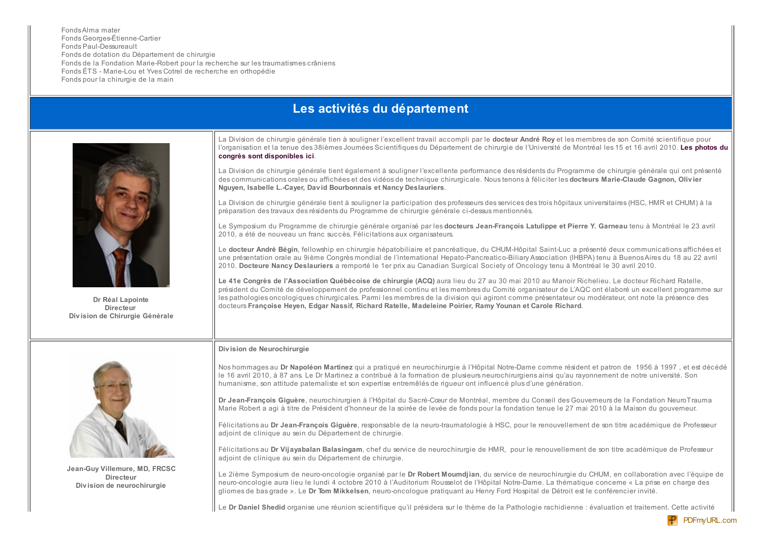FondsAlma mater Fonds Georges-Étienne-Cartier Fonds Paul-Dessureault Fonds de dotation du Département de chirurgie Fonds de la Fondation Marie-Robert pour la recherche sur les traumatismes crâniens Fonds ÉTS - Marie-Lou et Yves Cotrel de recherche en orthopédie Fonds pour la chirurgie de la main

### Les activités du département



Dr Réal Lapointe **Directeur** Division de Chirurgie Générale

La Division de chirurgie générale tien à souligner l'excellent travail accompli par le docteur André Roy et les membres de son Comité scientifique pour l'organisation et la tenue des 38ièmes Journées Scientifiques du Département de chirurgie de l'Université de Montréal les 15 et 16 avril 2010. Les photos du congrès sont disponibles ici.

La Division de chirurgie générale tient également à souligner l'excellente performance des résidents du Programme de chirurgie générale qui ont présenté des communications orales ou affichées et des vidéos de technique chirurgicale. Nous tenons à féliciter les docteurs Marie-Claude Gagnon, Olivier Nauven, Isabelle L.-Caver, David Bourbonnais et Nancy Deslauriers.

La Division de chirurgie générale tient à souligner la participation des professeurs des services des trois hôpitaux universitaires (HSC, HMR et CHUM) à la préparation des travaux des résidents du Programme de chirurgie générale ci-dessus mentionnés.

Le Symposium du Programme de chirurgie générale organisé par les docteurs Jean-François Latulippe et Pierre Y. Garneau tenu à Montréal le 23 avril 2010, a été de nouveau un franc succès. Félicitations aux organisateurs.

Le docteur André Bégin, fellowship en chirurgie hépatobiliaire et pancréatique, du CHUM-Hôpital Saint-Luc a présenté deux communications affichées et une présentation orale au 9ième Congrès mondial de l'international Hepato-Pancreatico-Biliary Association (IHBPA) tenu à Buenos Aires du 18 au 22 avril 2010. Docteure Nancy Deslauriers a remporté le 1er prix au Canadian Surgical Society of Oncology tenu à Montréal le 30 avril 2010.

Le 41e Congrès de l'Association Québécoise de chirurgie (ACQ) aura lieu du 27 au 30 mai 2010 au Manoir Richelieu. Le docteur Richard Ratelle, président du Comité de développement de professionnel continu et les membres du Comité organisateur de L'AQC ont élaboré un excellent programme sur les pathologies oncologiques chirurgicales. Parmi les membres de la division qui agiront comme présentateur ou modérateur, ont note la présence des docteurs Françoise Heyen, Edgar Nassif, Richard Ratelle, Madeleine Poirier, Ramy Younan et Carole Richard.

#### Division de Neurochirurgie



Jean-Guv Villemure, MD, FRCSC Directeur Division de neurochirurgie

Nos hommages au Dr Napoléon Martinez qui a pratiqué en neurochirurgie à l'Hôpital Notre-Dame comme résident et patron de 1956 à 1997, et est décédé le 16 avril 2010, à 87 ans. Le Dr Martinez a contribué à la formation de plusieurs neurochirurgiens ainsi qu'au rayonnement de notre université. Son humanisme, son attitude patemaliste et son expertise entremêlés de rigueur ont influencé plus d'une génération.

Dr Jean-François Giquère, neurochirurgien à l'Hôpital du Sacré-Cœur de Montréal, membre du Conseil des Gouverneurs de la Fondation Neuro Trauma Marie Robert a agi à titre de Président d'honneur de la soirée de levée de fonds pour la fondation tenue le 27 mai 2010 à la Maison du gouverneur.

Félicitations au Dr Jean-François Giguère, responsable de la neuro-traumatologie à HSC, pour le renouvellement de son titre académique de Professeur adjoint de clinique au sein du Département de chirurgie.

Félicitations au Dr Vijayabalan Balasingam, chef du service de neurochirurgie de HMR, pour le renouvellement de son titre académique de Professeur adjoint de clinique au sein du Département de chirurgie.

Le 2ième Symposium de neuro-oncologie organisé par le Dr Robert Moumdjian, du service de neurochirurgie du CHUM, en collaboration avec l'équipe de neuro-oncologie aura lieu le lundi 4 octobre 2010 à l'Auditorium Rousselot de l'Hôpital Notre-Dame. La thématique concerne « La prise en charge des gliomes de bas grade ». Le Dr Tom Mikkelsen, neuro-oncologue pratiquant au Henry Ford Hospital de Détroit est le conférencier invité.

Le Dr Daniel Shedid organise une réunion scientifique qu'il présidera sur le thème de la Pathologie rachidienne : évaluation et traitement. Cette activité

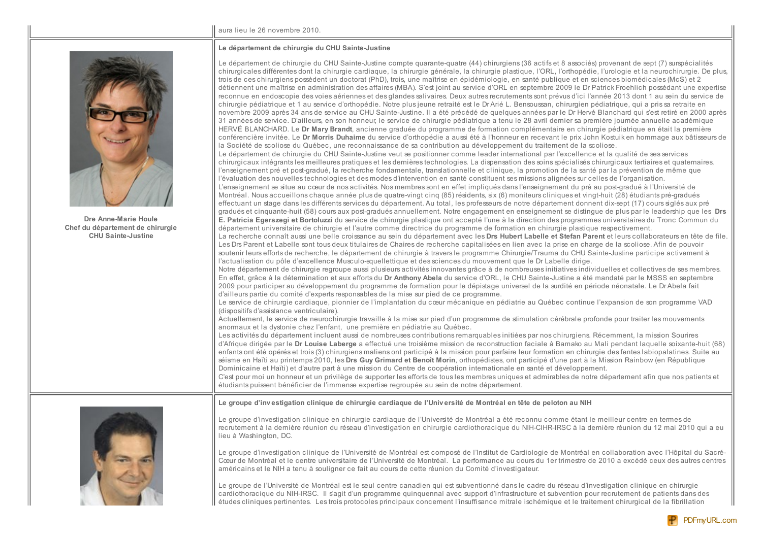#### aura lieu le 26 novembre 2010.

#### Le département de chirurgie du CHU Sainte-Justine



Dre Anne-Marie Houle Chef du département de chirurgie **CHU Sainte-Justine** 

|  | Le département de chirurgie du CHU Sainte-Justine compte quarante-quatre (44) chirurgiens (36 actifs et 8 associés) provenant de sept (7) surspécialités<br>chirurgicales différentes dont la chirurgie cardiague, la chirurgie générale, la chirurgie plastigue, l'ORL, l'orthopédie, l'urologie et la neurochirurgie. De plus,<br>trois de ces chirurgiens possèdent un doctorat (PhD), trois, une maîtrise en épidémiologie, en santé publique et en sciences biomédicales (McS) et 2<br>détiennent une maîtrise en administration des affaires (MBA). S'est joint au service d'ORL en septembre 2009 le Dr Patrick Froehlich possédant une expertise<br>reconnue en endoscopie des voies aériennes et des glandes salivaires. Deux autres recrutements sont prévus d'ici l'année 2013 dont 1 au sein du service de<br>chirurgie pédiatrique et 1 au service d'orthopédie. Notre plus jeune retraité est le DrArié L. Bensoussan, chirurgien pédiatrique, qui a pris sa retraite en<br>novembre 2009 après 34 ans de service au CHU Sainte-Justine. Il a été précédé de quelques années par le Dr Hervé Blanchard qui s'est retiré en 2000 après<br>31 années de service. D'ailleurs, en son honneur, le service de chirurgie pédiatrique a tenu le 28 avril demier sa première journée annuelle académique<br>HERVÉ BLANCHARD. Le Dr Mary Brandt, ancienne graduée du programme de formation complémentaire en chirurgie pédiatrique en était la première<br>conférencière invitée. Le Dr Morris Duhaime du service d'orthopédie a aussi été à l'honneur en recevant le prix John Kostuik en hommage aux bâtisseurs de<br>la Société de scoliose du Québec, une reconnaissance de sa contribution au développement du traitement de la scoliose.<br>Le département de chirurgie du CHU Sainte-Justine veut se positionner comme leader international par l'excellence et la qualité de ses services<br>chirurgicaux intégrants les meilleures pratiques et les demières technologies. La dispensation des soins spécialisés chirurgicaux tertiaires et quaternaires,<br>l'enseignement pré et post-gradué, la recherche fondamentale, translationnelle et clinique, la promotion de la santé par la prévention de même que<br>l'évaluation des nouvelles technologies et des modes d'intervention en santé constituent ses missions alignées sur celles de l'organisation.<br>L'enseignement se situe au cœur de nos activités. Nos membres sont en effet impliqués dans l'enseignement du pré au post-gradué à l'Université de<br>Montréal. Nous accueillons chaque année plus de quatre-vingt cinq (85) résidents, six (6) moniteurs cliniques et vingt-huit (28) étudiants pré-gradués<br>effectuant un stage dans les différents services du département. Au total, les professeurs de notre département donnent dix-sept (17) cours siglés aux pré<br>gradués et cinquante-huit (58) cours aux post-gradués annuellement. Notre engagement en enseignement se distingue de plus par le leadership que les Drs<br>E. Patricia Egerszegi et Bortoluzzi du service de chirurgie plastique ont accepté l'une à la direction des programmes universitaires du Tronc Commun du<br>département universitaire de chirurgie et l'autre comme directrice du programme de formation en chirurgie plastique respectivement.<br>La recherche connaît aussi une belle croissance au sein du département avec les Drs Hubert Labelle et Stefan Parent et leurs collaborateurs en tête de file.<br>Les Drs Parent et Labelle sont tous deux titulaires de Chaires de recherche capitalisées en lien avec la prise en charge de la scoliose. Afin de pouvoir<br>soutenir leurs efforts de recherche, le département de chirurgie à travers le programme Chirurgie/Trauma du CHU Sainte-Justine participe activement à<br>l'actualisation du pôle d'excellence Musculo-squellettique et des sciences du mouvement que le Dr Labelle dirige.<br>Notre département de chirurgie regroupe aussi plusieurs activités innovantes grâce à de nombreuses initiatives individuelles et collectives de ses membres.<br>En effet, grâce à la détermination et aux efforts du Dr Anthony Abela du service d'ORL, le CHU Sainte-Justine a été mandaté par le MSSS en septembre<br>2009 pour participer au développement du programme de formation pour le dépistage universel de la surdité en période néonatale. Le Dr Abela fait<br>d'ailleurs partie du comité d'experts responsables de la mise sur pied de ce programme.<br>Le service de chirurgie cardiaque, pionnier de l'implantation du cœur mécanique en pédiatrie au Québec continue l'expansion de son programme VAD<br>(dispositifs d'assistance ventriculaire).<br>Actuellement, le service de neurochirurgie travaille à la mise sur pied d'un programme de stimulation cérébrale profonde pour traiter les mouvements<br>anormaux et la dystonie chez l'enfant, une première en pédiatrie au Québec.<br>Les activités du département incluent aussi de nombreuses contributions remarquables initiées par nos chirurgiens. Récemment, la mission Sourires<br>d'Afrique dirigée par le Dr Louise Laberge a effectué une troisième mission de reconstruction faciale à Bamako au Mali pendant laquelle soixante-huit (68)<br>enfants ont été opérés et trois (3) chirurgiens maliens ont participé à la mission pour parfaire leur formation en chirurgie des fentes labiopalatines. Suite au<br>séisme en Haïti au printemps 2010, les <b>Drs Guy Grimard et Benoît Morin</b> , orthopédistes, ont participé d'une part à la Mission Rainbow (en République<br>Dominicaine et Haïti) et d'autre part à une mission du Centre de coopération internationale en santé et développement.<br>C'est pour moi un honneur et un privilège de supporter les efforts de tous les membres uniques et admirables de notre département afin que nos patients et |
|--|------------------------------------------------------------------------------------------------------------------------------------------------------------------------------------------------------------------------------------------------------------------------------------------------------------------------------------------------------------------------------------------------------------------------------------------------------------------------------------------------------------------------------------------------------------------------------------------------------------------------------------------------------------------------------------------------------------------------------------------------------------------------------------------------------------------------------------------------------------------------------------------------------------------------------------------------------------------------------------------------------------------------------------------------------------------------------------------------------------------------------------------------------------------------------------------------------------------------------------------------------------------------------------------------------------------------------------------------------------------------------------------------------------------------------------------------------------------------------------------------------------------------------------------------------------------------------------------------------------------------------------------------------------------------------------------------------------------------------------------------------------------------------------------------------------------------------------------------------------------------------------------------------------------------------------------------------------------------------------------------------------------------------------------------------------------------------------------------------------------------------------------------------------------------------------------------------------------------------------------------------------------------------------------------------------------------------------------------------------------------------------------------------------------------------------------------------------------------------------------------------------------------------------------------------------------------------------------------------------------------------------------------------------------------------------------------------------------------------------------------------------------------------------------------------------------------------------------------------------------------------------------------------------------------------------------------------------------------------------------------------------------------------------------------------------------------------------------------------------------------------------------------------------------------------------------------------------------------------------------------------------------------------------------------------------------------------------------------------------------------------------------------------------------------------------------------------------------------------------------------------------------------------------------------------------------------------------------------------------------------------------------------------------------------------------------------------------------------------------------------------------------------------------------------------------------------------------------------------------------------------------------------------------------------------------------------------------------------------------------------------------------------------------------------------------------------------------------------------------------------------------------------------------------------------------------------------------------------------------------------------------------------------------------------------------------------------------------------------------------------------------------------------------------------------------------------------------------------------------------------------------------------------------------------------------------------------------------------------------------------------------------------------------------------------------------------------------------------------------------------------------------------------------------------------------------------------------------------------------------------------------------------------------------------------------------------------------------------------------------------------------------------------------------------------------------------------------------------------------------------------------------------------------------------------------------------------------------------------------------------------------------------------------------------------------------------------------------------------------------------------------------------------------------------------------------------------------------------------------------------------------------------------------------------------------------------------------------------------------------------------------------------------------------------------------------------------------------------------------------------------------------------------------------------------------------------------------------------------------------------------------------------|
|  | Le groupe d'investigation clinique de chirurgie cardiague de l'Université de Montréal en tête de peloton au NIH                                                                                                                                                                                                                                                                                                                                                                                                                                                                                                                                                                                                                                                                                                                                                                                                                                                                                                                                                                                                                                                                                                                                                                                                                                                                                                                                                                                                                                                                                                                                                                                                                                                                                                                                                                                                                                                                                                                                                                                                                                                                                                                                                                                                                                                                                                                                                                                                                                                                                                                                                                                                                                                                                                                                                                                                                                                                                                                                                                                                                                                                                                                                                                                                                                                                                                                                                                                                                                                                                                                                                                                                                                                                                                                                                                                                                                                                                                                                                                                                                                                                                                                                                                                                                                                                                                                                                                                                                                                                                                                                                                                                                                                                                                                                                                                                                                                                                                                                                                                                                                                                                                                                                                                                                                                                                                                                                                                                                                                                                                                                                                                                                                                                                                                                                                                |
|  | Le groupe d'investigation clinique en chirurgie cardiague de l'Université de Montréal a été reconnu comme étant le meilleur centre en termes de<br>recrutement à la dernière réunion du réseau d'investigation en chirurgie cardiothoracique du NIH-CIHR-IRSC à la dernière réunion du 12 mai 2010 qui a eu<br>lieu à Washington, DC.                                                                                                                                                                                                                                                                                                                                                                                                                                                                                                                                                                                                                                                                                                                                                                                                                                                                                                                                                                                                                                                                                                                                                                                                                                                                                                                                                                                                                                                                                                                                                                                                                                                                                                                                                                                                                                                                                                                                                                                                                                                                                                                                                                                                                                                                                                                                                                                                                                                                                                                                                                                                                                                                                                                                                                                                                                                                                                                                                                                                                                                                                                                                                                                                                                                                                                                                                                                                                                                                                                                                                                                                                                                                                                                                                                                                                                                                                                                                                                                                                                                                                                                                                                                                                                                                                                                                                                                                                                                                                                                                                                                                                                                                                                                                                                                                                                                                                                                                                                                                                                                                                                                                                                                                                                                                                                                                                                                                                                                                                                                                                          |
|  | Le groupe d'investigation clinique de l'Université de Montréal est composé de l'Institut de Cardiologie de Montréal en collaboration avec l'Hôpital du Sacré-<br>Cœur de Montréal et le centre universitaire de l'Université de Montréal. La performance au cours du 1er trimestre de 2010 a excédé ceux des autres centres<br>américains et le NIH a tenu à souligner ce fait au cours de cette réunion du Comité d'investigateur.                                                                                                                                                                                                                                                                                                                                                                                                                                                                                                                                                                                                                                                                                                                                                                                                                                                                                                                                                                                                                                                                                                                                                                                                                                                                                                                                                                                                                                                                                                                                                                                                                                                                                                                                                                                                                                                                                                                                                                                                                                                                                                                                                                                                                                                                                                                                                                                                                                                                                                                                                                                                                                                                                                                                                                                                                                                                                                                                                                                                                                                                                                                                                                                                                                                                                                                                                                                                                                                                                                                                                                                                                                                                                                                                                                                                                                                                                                                                                                                                                                                                                                                                                                                                                                                                                                                                                                                                                                                                                                                                                                                                                                                                                                                                                                                                                                                                                                                                                                                                                                                                                                                                                                                                                                                                                                                                                                                                                                                            |

Le groupe de l'Université de Montréal est le seul centre canadien qui est subventionné dans le cadre du réseau d'investigation clinique en chirurgie<br>cardiothoracique du NIH-IRSC. Il s'agit d'un programme quinquennal avec s études cliniques pertinentes. Les trois protocoles principaux concernent l'insuffisance mitrale ischémique et le traitement chirurgical de la fibrillation